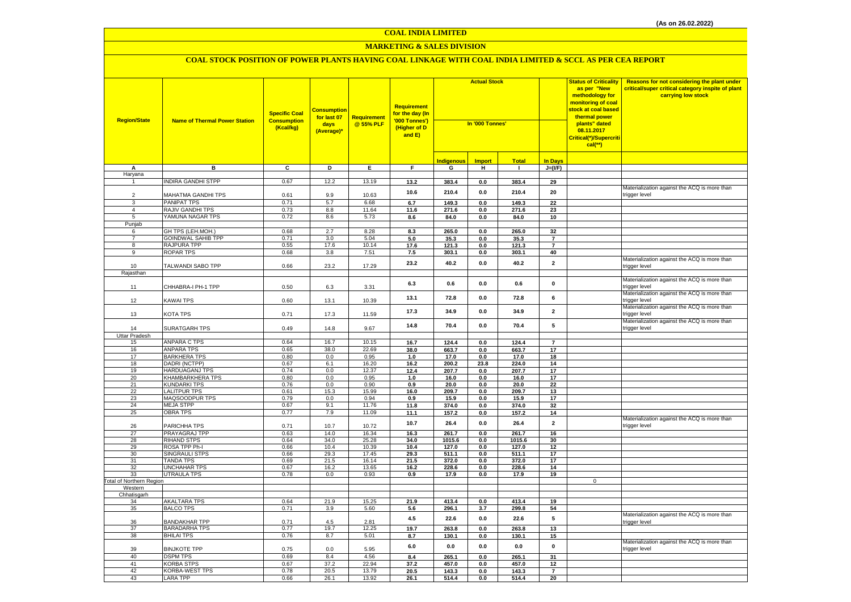#### **MARKETING & SALES DIVISION**

| <b>Region/State</b>             | <b>Name of Thermal Power Station</b>   | <b>Specific Coal</b><br><b>Consumption</b><br>(Kcal/kg) | <mark>Consumption</mark><br>for last 07<br>days<br>(Average)* | <b>Requirement</b><br>@ 55% PLF | <b>Requirement</b><br>for the day (In<br>'000 Tonnes')<br>(Higher of D<br>and E) | <b>Actual Stock</b><br>In '000 Tonnes' |               |                |                         | <b>Status of Criticality</b><br>as per "New<br>methodology for<br>monitoring of coal<br>stock at coal based<br>thermal power<br>plants" dated<br>08.11.2017<br>Critical(*)/Supercriti<br>$cal$ (**) | Reasons for not considering the plant under<br>critical/super critical category inspite of plant<br>carrying low stock |
|---------------------------------|----------------------------------------|---------------------------------------------------------|---------------------------------------------------------------|---------------------------------|----------------------------------------------------------------------------------|----------------------------------------|---------------|----------------|-------------------------|-----------------------------------------------------------------------------------------------------------------------------------------------------------------------------------------------------|------------------------------------------------------------------------------------------------------------------------|
|                                 |                                        |                                                         |                                                               |                                 |                                                                                  | Indigenous                             | <b>Import</b> | <b>Total</b>   | <b>In Days</b>          |                                                                                                                                                                                                     |                                                                                                                        |
| А                               | в                                      | C                                                       | D                                                             | Ε.                              | F.                                                                               | G                                      | н.            | $\mathbf{I}$   | $J=(VF)$                |                                                                                                                                                                                                     |                                                                                                                        |
| Haryana                         |                                        |                                                         |                                                               |                                 |                                                                                  |                                        |               |                |                         |                                                                                                                                                                                                     |                                                                                                                        |
| $\overline{1}$                  | INDIRA GANDHI STPP                     | 0.67                                                    | 12.2                                                          | 13.19                           | 13.2                                                                             | 383.4                                  | 0.0           | 383.4          | 29                      |                                                                                                                                                                                                     |                                                                                                                        |
|                                 |                                        |                                                         |                                                               |                                 | 10.6                                                                             | 210.4                                  | 0.0           | 210.4          | 20                      |                                                                                                                                                                                                     | Materialization against the ACQ is more than                                                                           |
| $\overline{2}$                  | MAHATMA GANDHI TPS                     | 0.61<br>0.71                                            | 9.9                                                           | 10.63                           |                                                                                  |                                        |               |                |                         |                                                                                                                                                                                                     | trigger level                                                                                                          |
| 3                               | <b>PANIPAT TPS</b><br>RAJIV GANDHI TPS | 0.73                                                    | 5.7<br>8.8                                                    | 6.68<br>11.64                   | 6.7                                                                              | 149.3                                  | 0.0           | 149.3          | $\overline{22}$         |                                                                                                                                                                                                     |                                                                                                                        |
| 4<br>5                          | YAMUNA NAGAR TPS                       | 0.72                                                    | 8.6                                                           | 5.73                            | 11.6<br>8.6                                                                      | 271.6<br>84.0                          | 0.0<br>0.0    | 271.6<br>84.0  | 23<br>10                |                                                                                                                                                                                                     |                                                                                                                        |
| Punjab                          |                                        |                                                         |                                                               |                                 |                                                                                  |                                        |               |                |                         |                                                                                                                                                                                                     |                                                                                                                        |
| 6                               | GH TPS (LEH.MOH.)                      | 0.68                                                    | 2.7                                                           | 8.28                            | 8.3                                                                              | 265.0                                  | 0.0           | 265.0          | 32                      |                                                                                                                                                                                                     |                                                                                                                        |
| $\overline{7}$                  | <b>GOINDWAL SAHIB TPP</b>              | 0.71                                                    | 3.0                                                           | 5.04                            | 5.0                                                                              | 35.3                                   | 0.0           | 35.3           | $\overline{7}$          |                                                                                                                                                                                                     |                                                                                                                        |
| 8                               | RAJPURA TPP                            | 0.55                                                    | 17.6                                                          | 10.14                           | 17.6                                                                             | 121.3                                  | 0.0           | 121.3          | $\overline{7}$          |                                                                                                                                                                                                     |                                                                                                                        |
| 9                               | <b>ROPAR TPS</b>                       | 0.68                                                    | 3.8                                                           | 7.51                            | 7.5                                                                              | 303.1                                  | 0.0           | 303.1          | 40                      |                                                                                                                                                                                                     |                                                                                                                        |
| 10                              | TALWANDI SABO TPP                      | 0.66                                                    | 23.2                                                          | 17.29                           | 23.2                                                                             | 40.2                                   | 0.0           | 40.2           | $\overline{\mathbf{2}}$ |                                                                                                                                                                                                     | Materialization against the ACQ is more than<br>trigger level                                                          |
| Rajasthan                       |                                        |                                                         |                                                               |                                 |                                                                                  |                                        |               |                |                         |                                                                                                                                                                                                     |                                                                                                                        |
| 11                              | CHHABRA-I PH-1 TPP                     | 0.50                                                    | 6.3                                                           | 3.31                            | 6.3                                                                              | 0.6                                    | 0.0           | 0.6            | $\mathbf 0$             |                                                                                                                                                                                                     | Materialization against the ACQ is more than<br>trigger level                                                          |
| 12                              | <b>KAWAI TPS</b>                       | 0.60                                                    | 13.1                                                          | 10.39                           | 13.1                                                                             | 72.8                                   | 0.0           | 72.8           | 6                       |                                                                                                                                                                                                     | Materialization against the ACQ is more than<br>trigger level                                                          |
| 13                              | KOTA TPS                               | 0.71                                                    | 17.3                                                          | 11.59                           | 17.3                                                                             | 34.9                                   | 0.0           | 34.9           | $\mathbf{2}$            |                                                                                                                                                                                                     | Materialization against the ACQ is more than<br>trigger level                                                          |
| 14                              | SURATGARH TPS                          | 0.49                                                    | 14.8                                                          | 9.67                            | 14.8                                                                             | 70.4                                   | 0.0           | 70.4           | 5                       |                                                                                                                                                                                                     | Materialization against the ACQ is more than<br>trigger level                                                          |
| Uttar Pradesh                   |                                        |                                                         |                                                               |                                 |                                                                                  |                                        |               |                |                         |                                                                                                                                                                                                     |                                                                                                                        |
| 15                              | <b>ANPARA C TPS</b>                    | 0.64                                                    | 16.7                                                          | 10.15                           | $16.7$                                                                           | 124.4                                  | 0.0           | 124.4          | $\overline{7}$          |                                                                                                                                                                                                     |                                                                                                                        |
| 16                              | <b>ANPARA TPS</b>                      | 0.65                                                    | 38.0                                                          | 22.69                           | 38.0                                                                             | 663.7                                  | 0.0           | 663.7          | 17                      |                                                                                                                                                                                                     |                                                                                                                        |
| 17<br>18                        | <b>BARKHERA TPS</b><br>DADRI (NCTPP)   | 0.80<br>0.67                                            | 0.0<br>6.1                                                    | 0.95<br>16.20                   | 1.0<br>16.2                                                                      | 17.0<br>200.2                          | 0.0<br>23.8   | 17.0<br>224.0  | 18<br>14                |                                                                                                                                                                                                     |                                                                                                                        |
| 19                              | HARDUAGANJ TPS                         | 0.74                                                    | 0.0                                                           | 12.37                           | 12.4                                                                             | 207.7                                  | 0.0           | 207.7          | 17                      |                                                                                                                                                                                                     |                                                                                                                        |
| 20                              | KHAMBARKHERA TPS                       | 0.80                                                    | 0.0                                                           | 0.95                            | 1.0                                                                              | 16.0                                   | 0.0           | 16.0           | 17                      |                                                                                                                                                                                                     |                                                                                                                        |
| 21                              | <b>KUNDARKI TPS</b>                    | 0.76                                                    | 0.0                                                           | 0.90                            | 0.9                                                                              | 20.0                                   | 0.0           | 20.0           | 22                      |                                                                                                                                                                                                     |                                                                                                                        |
| 22                              | <b>LALITPUR TPS</b>                    | 0.61                                                    | 15.3                                                          | 15.99                           | 16.0                                                                             | 209.7                                  | 0.0           | 209.7          | 13                      |                                                                                                                                                                                                     |                                                                                                                        |
| 23                              | MAQSOODPUR TPS                         | 0.79                                                    | 0.0                                                           | 0.94                            | 0.9                                                                              | 15.9                                   | 0.0           | 15.9           | 17                      |                                                                                                                                                                                                     |                                                                                                                        |
| 24                              | <b>MEJA STPP</b>                       | 0.67                                                    | 9.1                                                           | 11.76                           | 11.8                                                                             | 374.0                                  | 0.0           | 374.0          | 32                      |                                                                                                                                                                                                     |                                                                                                                        |
| 25                              | <b>OBRA TPS</b>                        | 0.77                                                    | 7.9                                                           | 11.09                           | 11.1                                                                             | 157.2                                  | 0.0           | 157.2          | 14                      |                                                                                                                                                                                                     |                                                                                                                        |
| 26                              | PARICHHA TPS                           | 0.71                                                    | 10.7                                                          | 10.72                           | 10.7                                                                             | 26.4                                   | 0.0           | 26.4           | $\overline{2}$          |                                                                                                                                                                                                     | Materialization against the ACQ is more than<br>trigger level                                                          |
| 27                              | PRAYAGRAJ TPP                          | 0.63                                                    | 14.0                                                          | 16.34                           | 16.3                                                                             | 261.7                                  | 0.0           | 261.7          | 16                      |                                                                                                                                                                                                     |                                                                                                                        |
| 28<br>29                        | <b>RIHAND STPS</b><br>ROSA TPP Ph-I    | 0.64<br>0.66                                            | 34.0<br>10.4                                                  | 25.28<br>10.39                  | 34.0                                                                             | 1015.6                                 | 0.0           | 1015.6         | 30                      |                                                                                                                                                                                                     |                                                                                                                        |
| 30                              | <b>SINGRAULI STPS</b>                  | 0.66                                                    | 29.3                                                          | 17.45                           | 10.4<br>29.3                                                                     | 127.0<br>511.1                         | 0.0<br>0.0    | 127.0<br>511.1 | 12<br>17                |                                                                                                                                                                                                     |                                                                                                                        |
| 31                              | <b>TANDA TPS</b>                       | 0.69                                                    | 21.5                                                          | 16.14                           | 21.5                                                                             | 372.0                                  | 0.0           | 372.0          | 17                      |                                                                                                                                                                                                     |                                                                                                                        |
| 32                              | <b>UNCHAHAR TPS</b>                    | 0.67                                                    | 16.2                                                          | 13.65                           | 16.2                                                                             | 228.6                                  | 0.0           | 228.6          | 14                      |                                                                                                                                                                                                     |                                                                                                                        |
| 33                              | <b>UTRAULA TPS</b>                     | 0.78                                                    | 0.0                                                           | 0.93                            | 0.9                                                                              | 17.9                                   | 0.0           | 17.9           | 19                      |                                                                                                                                                                                                     |                                                                                                                        |
| <b>Total of Northern Region</b> |                                        |                                                         |                                                               |                                 |                                                                                  |                                        |               |                |                         | $\mathbf 0$                                                                                                                                                                                         |                                                                                                                        |
| Western                         |                                        |                                                         |                                                               |                                 |                                                                                  |                                        |               |                |                         |                                                                                                                                                                                                     |                                                                                                                        |
| Chhatisgarh<br>34               | <b>AKALTARA TPS</b>                    | 0.64                                                    | 21.9                                                          | 15.25                           | 21.9                                                                             | 413.4                                  | 0.0           | 413.4          | 19                      |                                                                                                                                                                                                     |                                                                                                                        |
| 35                              | <b>BALCO TPS</b>                       | 0.71                                                    | 3.9                                                           | 5.60                            | 5.6                                                                              | 296.1                                  | 3.7           | 299.8          | 54                      |                                                                                                                                                                                                     |                                                                                                                        |
| 36                              | <b>BANDAKHAR TPP</b>                   | 0.71                                                    | 4.5                                                           | 2.81                            | 4.5                                                                              | 22.6                                   | $0.0\,$       | 22.6           | ${\bf 5}$               |                                                                                                                                                                                                     | Materialization against the ACQ is more than<br>trigger level                                                          |
| 37                              | <b>BARADARHA TPS</b>                   | 0.77                                                    | 19.7                                                          | 12.25                           | 19.7                                                                             | 263.8                                  | 0.0           | 263.8          | 13                      |                                                                                                                                                                                                     |                                                                                                                        |
| 38                              | <b>BHILAI TPS</b>                      | 0.76                                                    | 8.7                                                           | 5.01                            | 8.7                                                                              | 130.1                                  | 0.0           | 130.1          | 15                      |                                                                                                                                                                                                     |                                                                                                                        |
| 39                              | <b>BINJKOTE TPP</b>                    | 0.75                                                    | 0.0                                                           | 5.95                            | 6.0                                                                              | 0.0                                    | 0.0           | 0.0            | 0                       |                                                                                                                                                                                                     | Materialization against the ACQ is more than<br>trigger level                                                          |
| 40                              | <b>DSPM TPS</b>                        | 0.69                                                    | 8.4                                                           | 4.56                            | 8.4                                                                              | 265.1                                  | 0.0           | 265.1          | 31                      |                                                                                                                                                                                                     |                                                                                                                        |
| 41                              | <b>KORBA STPS</b>                      | 0.67                                                    | 37.2                                                          | 22.94                           | 37.2                                                                             | 457.0                                  | 0.0           | 457.0          | 12                      |                                                                                                                                                                                                     |                                                                                                                        |
| 42                              | <b>KORBA-WEST TPS</b>                  | 0.78                                                    | 20.5                                                          | 13.79                           | 20.5                                                                             | 143.3                                  | 0.0           | 143.3          | $\overline{\mathbf{z}}$ |                                                                                                                                                                                                     |                                                                                                                        |
| 43                              | <b>LARA TPP</b>                        | 0.66                                                    | 26.1                                                          | 13.92                           | 26.1                                                                             | 514.4                                  | 0.0           | 514.4          | 20                      |                                                                                                                                                                                                     |                                                                                                                        |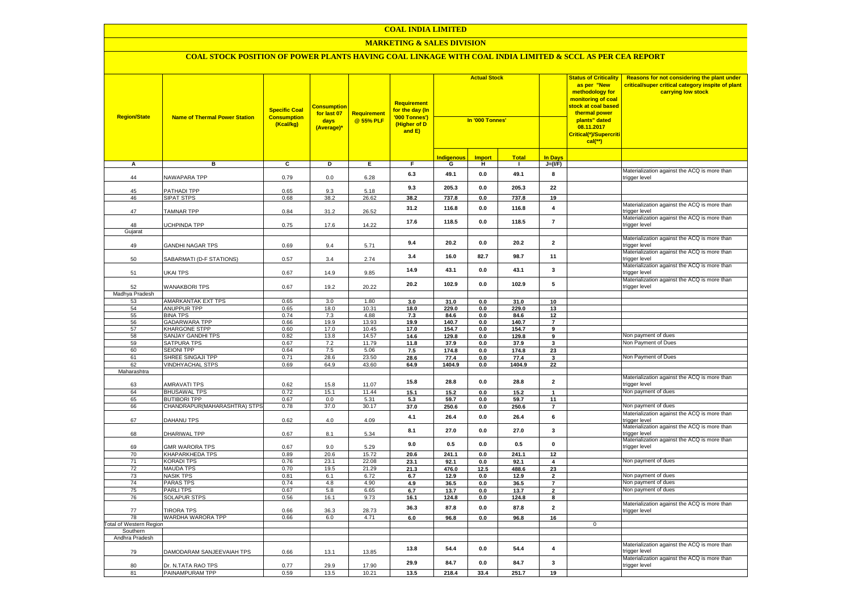#### **MARKETING & SALES DIVISION**

| <b>Region/State</b>     | <b>Name of Thermal Power Station</b>    | <b>Specific Coal</b><br><b>Consumption</b><br>(Kcal/kg) | <b>Consumption</b><br>for last 07<br>days<br>(Average)* | <b>Requirement</b><br>@ 55% PLF | Requirement<br>for the day (In<br>'000 Tonnes')<br>(Higher of D<br>and E) | <b>Actual Stock</b><br>In '000 Tonnes' |                        |                | <b>Status of Criticality</b><br>as per "New<br>methodology for<br>monitoring of coal<br><mark>stock at coal based</mark><br>thermal power<br>plants" dated<br>08.11.2017<br><mark>Critical(*)/Supercriti</mark><br>$cal$ (**) |              | Reasons for not considering the plant under<br>critical/super critical category inspite of plant<br>carrying low stock |
|-------------------------|-----------------------------------------|---------------------------------------------------------|---------------------------------------------------------|---------------------------------|---------------------------------------------------------------------------|----------------------------------------|------------------------|----------------|-------------------------------------------------------------------------------------------------------------------------------------------------------------------------------------------------------------------------------|--------------|------------------------------------------------------------------------------------------------------------------------|
|                         |                                         |                                                         |                                                         |                                 |                                                                           | <b>Indigenous</b>                      | <b>Import</b>          | <b>Total</b>   | <b>In Davs</b>                                                                                                                                                                                                                |              |                                                                                                                        |
| А                       | в                                       | c                                                       | Þ                                                       | E                               | F                                                                         | G                                      | н                      | $\mathbf{I}$   | $J=(VF)$                                                                                                                                                                                                                      |              |                                                                                                                        |
| 44                      | NAWAPARA TPP                            | 0.79                                                    | 0.0                                                     | 6.28                            | 6.3                                                                       | 49.1                                   | $\mathbf{0.0}$         | 49.1           | 8                                                                                                                                                                                                                             |              | Materialization against the ACQ is more than<br>trigger level                                                          |
| 45                      | PATHADI TPP                             | 0.65                                                    | 9.3                                                     | 5.18                            | 9.3                                                                       | 205.3                                  | 0.0                    | 205.3          | 22                                                                                                                                                                                                                            |              |                                                                                                                        |
| 46                      | <b>SIPAT STPS</b>                       | 0.68                                                    | 38.2                                                    | 26.62                           | 38.2                                                                      | 737.8                                  | 0.0                    | 737.8          | 19                                                                                                                                                                                                                            |              |                                                                                                                        |
| 47                      | <b>TAMNAR TPP</b>                       | 0.84                                                    | 31.2                                                    | 26.52                           | 31.2                                                                      | 116.8                                  | $\mathbf{0.0}$         | 116.8          | $\overline{\mathbf{4}}$                                                                                                                                                                                                       |              | Materialization against the ACQ is more than<br>trigger level                                                          |
| 48                      | UCHPINDA TPP                            | 0.75                                                    | 17.6                                                    | 14.22                           | 17.6                                                                      | 118.5                                  | 0.0                    | 118.5          | $\overline{7}$                                                                                                                                                                                                                |              | Materialization against the ACQ is more than<br>trigger level                                                          |
| Gujarat                 |                                         |                                                         |                                                         |                                 |                                                                           |                                        |                        |                |                                                                                                                                                                                                                               |              | Materialization against the ACQ is more than                                                                           |
| 49                      | GANDHI NAGAR TPS                        | 0.69                                                    | 9.4                                                     | 5.71                            | 9.4                                                                       | 20.2                                   | $\mathbf{0.0}$         | 20.2           | $\overline{\mathbf{2}}$                                                                                                                                                                                                       |              | trigger level                                                                                                          |
| 50                      | SABARMATI (D-F STATIONS)                | 0.57                                                    | 3.4                                                     | 2.74                            | 3.4                                                                       | 16.0                                   | 82.7                   | 98.7           | 11                                                                                                                                                                                                                            |              | Materialization against the ACQ is more than<br>trigger level                                                          |
| 51                      | UKAI TPS                                | 0.67                                                    | 14.9                                                    | 9.85                            | 14.9                                                                      | 43.1                                   | 0.0                    | 43.1           | 3                                                                                                                                                                                                                             |              | Materialization against the ACQ is more than<br>trigger level                                                          |
| 52                      | <b>WANAKBORI TPS</b>                    | 0.67                                                    | 19.2                                                    | 20.22                           | 20.2                                                                      | 102.9                                  | 0.0                    | 102.9          | 5                                                                                                                                                                                                                             |              | Materialization against the ACQ is more than<br>trigger level                                                          |
| Madhya Pradesh          |                                         |                                                         |                                                         |                                 |                                                                           |                                        |                        |                |                                                                                                                                                                                                                               |              |                                                                                                                        |
| 53                      | <b>AMARKANTAK EXT TPS</b>               | 0.65                                                    | 3.0                                                     | 1.80                            | 3.0                                                                       | 31.0                                   | 0.0                    | 31.0           | 10                                                                                                                                                                                                                            |              |                                                                                                                        |
| 54                      | ANUPPUR TPP                             | 0.65                                                    | 18.0                                                    | 10.31                           | 18.0                                                                      | 229.0                                  | 0.0                    | 229.0          | 13                                                                                                                                                                                                                            |              |                                                                                                                        |
| 55                      | <b>BINA TPS</b><br><b>GADARWARA TPP</b> | 0.74                                                    | 7.3                                                     | 4.88                            | 7.3                                                                       | 84.6                                   | 0.0                    | 84.6           | 12<br>$\overline{7}$                                                                                                                                                                                                          |              |                                                                                                                        |
| 56<br>57                | <b>KHARGONE STPP</b>                    | 0.66<br>0.60                                            | 19.9<br>17.0                                            | 13.93<br>10.45                  | 19.9<br>17.0                                                              | 140.7<br>154.7                         | 0.0<br>0.0             | 140.7<br>154.7 | 9                                                                                                                                                                                                                             |              |                                                                                                                        |
| 58                      | <b>SANJAY GANDHI TPS</b>                | 0.82                                                    | 13.8                                                    | 14.57                           | 14.6                                                                      | 129.8                                  | 0.0                    | 129.8          | 9                                                                                                                                                                                                                             |              | Non payment of dues                                                                                                    |
| 59                      | <b>SATPURA TPS</b>                      | 0.67                                                    | 7.2                                                     | 11.79                           | 11.8                                                                      | 37.9                                   | 0.0                    | 37.9           | $\mathbf{3}$                                                                                                                                                                                                                  |              | Non Payment of Dues                                                                                                    |
| 60                      | <b>SEIONI TPP</b>                       | 0.64                                                    | 7.5                                                     | 5.06                            | 7.5                                                                       | 174.8                                  | 0.0                    | 174.8          | 23                                                                                                                                                                                                                            |              |                                                                                                                        |
| 61                      | SHREE SINGAJI TPP                       | 0.71                                                    | 28.6                                                    | 23.50                           | 28.6                                                                      | 77.4                                   | 0.0                    | 77.4           | 3                                                                                                                                                                                                                             |              | Non Payment of Dues                                                                                                    |
| 62                      | <b>VINDHYACHAL STPS</b>                 | 0.69                                                    | 64.9                                                    | 43.60                           | 64.9                                                                      | 1404.9                                 | 0.0                    | 1404.9         | 22                                                                                                                                                                                                                            |              |                                                                                                                        |
| Maharashtra             |                                         |                                                         |                                                         |                                 |                                                                           |                                        |                        |                |                                                                                                                                                                                                                               |              |                                                                                                                        |
| 63                      | <b>AMRAVATI TPS</b>                     | 0.62                                                    | 15.8                                                    | 11.07                           | 15.8                                                                      | 28.8                                   | $\mathbf{0.0}$         | 28.8           | $\overline{\mathbf{2}}$                                                                                                                                                                                                       |              | Materialization against the ACQ is more than<br>trigger level                                                          |
| 64                      | <b>BHUSAWAL TPS</b>                     | 0.72                                                    | 15.1                                                    | 11.44                           | 15.1                                                                      | 15.2                                   | 0.0                    | 15.2           | $\mathbf{1}$                                                                                                                                                                                                                  |              | Non payment of dues                                                                                                    |
| 65                      | <b>BUTIBORI TPP</b>                     | 0.67                                                    | 0.0                                                     | 5.31                            | 5.3                                                                       | 59.7                                   | 0.0                    | 59.7           | 11                                                                                                                                                                                                                            |              |                                                                                                                        |
| 66                      | CHANDRAPUR(MAHARASHTRA) STPS            | 0.78                                                    | 37.0                                                    | 30.17                           | 37.0                                                                      | 250.6                                  | 0.0                    | 250.6          | $\overline{7}$                                                                                                                                                                                                                |              | Non payment of dues                                                                                                    |
| 67                      | DAHANU TPS                              | 0.62                                                    | 4.0                                                     | 4.09                            | 4.1                                                                       | 26.4                                   | 0.0                    | 26.4           | 6                                                                                                                                                                                                                             |              | Materialization against the ACQ is more than<br>trigger level                                                          |
| 68                      | DHARIWAL TPP                            | 0.67                                                    | 8.1                                                     | 5.34                            | 8.1                                                                       | 27.0                                   | 0.0                    | 27.0           | $\overline{\mathbf{3}}$                                                                                                                                                                                                       |              | Materialization against the ACQ is more than<br>trigger level                                                          |
| 69                      | <b>GMR WARORA TPS</b>                   | 0.67                                                    | 9.0                                                     | 5.29                            | 9.0                                                                       | 0.5                                    | 0.0                    | 0.5            | 0                                                                                                                                                                                                                             |              | Materialization against the ACQ is more than<br>trigger level                                                          |
| 70                      | <b>KHAPARKHEDA TPS</b>                  | 0.89                                                    | 20.6                                                    | 15.72                           | 20.6                                                                      | 241.1                                  | 0.0                    | 241.1          | 12                                                                                                                                                                                                                            |              |                                                                                                                        |
| 71                      | <b>KORADI TPS</b>                       | 0.76                                                    | 23.1                                                    | 22.08                           | 23.1                                                                      | 92.1                                   | 0.0                    | 92.1           | 4                                                                                                                                                                                                                             |              | Non payment of dues                                                                                                    |
| 72<br>73                | <b>MAUDA TPS</b><br><b>NASIK TPS</b>    | 0.70<br>0.81                                            | 19.5<br>6.1                                             | 21.29<br>6.72                   | 21.3<br>6.7                                                               | 476.0<br>12.9                          | 12.5<br>$\mathbf{0.0}$ | 488.6<br>12.9  | 23<br>$\mathbf{2}$                                                                                                                                                                                                            |              | Non payment of dues                                                                                                    |
| 74                      | <b>PARAS TPS</b>                        | 0.74                                                    | 4.8                                                     | 4.90                            | 4.9                                                                       | 36.5                                   | 0.0                    | 36.5           | $\overline{7}$                                                                                                                                                                                                                |              | Non payment of dues                                                                                                    |
| 75                      | <b>PARLITPS</b>                         | 0.67                                                    | 5.8                                                     | 6.65                            | 6.7                                                                       | 13.7                                   | 0.0                    | 13.7           | $\overline{\mathbf{2}}$                                                                                                                                                                                                       |              | Non payment of dues                                                                                                    |
| 76                      | <b>SOLAPUR STPS</b>                     | 0.56                                                    | 16.1                                                    | 9.73                            | 16.1                                                                      | 124.8                                  | 0.0                    | 124.8          | 8                                                                                                                                                                                                                             |              |                                                                                                                        |
| 77                      | <b>TIRORA TPS</b>                       | 0.66                                                    | 36.3                                                    | 28.73                           | 36.3                                                                      | 87.8                                   | 0.0                    | 87.8           | $\overline{\mathbf{2}}$                                                                                                                                                                                                       |              | Materialization against the ACQ is more than<br>trigger level                                                          |
| 78                      | WARDHA WARORA TPP                       | 0.66                                                    | 6.0                                                     | 4.71                            | 6.0                                                                       | 96.8                                   | 0.0                    | 96.8           | 16                                                                                                                                                                                                                            |              |                                                                                                                        |
| Total of Western Region |                                         |                                                         |                                                         |                                 |                                                                           |                                        |                        |                |                                                                                                                                                                                                                               | $\mathbf{0}$ |                                                                                                                        |
| Southern                |                                         |                                                         |                                                         |                                 |                                                                           |                                        |                        |                |                                                                                                                                                                                                                               |              |                                                                                                                        |
| Andhra Pradesh          |                                         |                                                         |                                                         |                                 |                                                                           |                                        |                        |                |                                                                                                                                                                                                                               |              |                                                                                                                        |
| 79                      | DAMODARAM SANJEEVAIAH TPS               | 0.66                                                    | 13.1                                                    | 13.85                           | 13.8                                                                      | 54.4                                   | $\mathbf{0.0}$         | 54.4           | $\overline{\mathbf{4}}$                                                                                                                                                                                                       |              | Materialization against the ACQ is more than<br>trigger level                                                          |
| 80                      | Dr. N.TATA RAO TPS                      | 0.77                                                    | 29.9                                                    | 17.90                           | 29.9                                                                      | 84.7                                   | 0.0                    | 84.7           | 3                                                                                                                                                                                                                             |              | Materialization against the ACQ is more than<br>trigger level                                                          |
| 81                      | PAINAMPURAM TPP                         | 0.59                                                    | 13.5                                                    | 10.21                           | 13.5                                                                      | 218.4                                  | 33.4                   | 251.7          | 19                                                                                                                                                                                                                            |              |                                                                                                                        |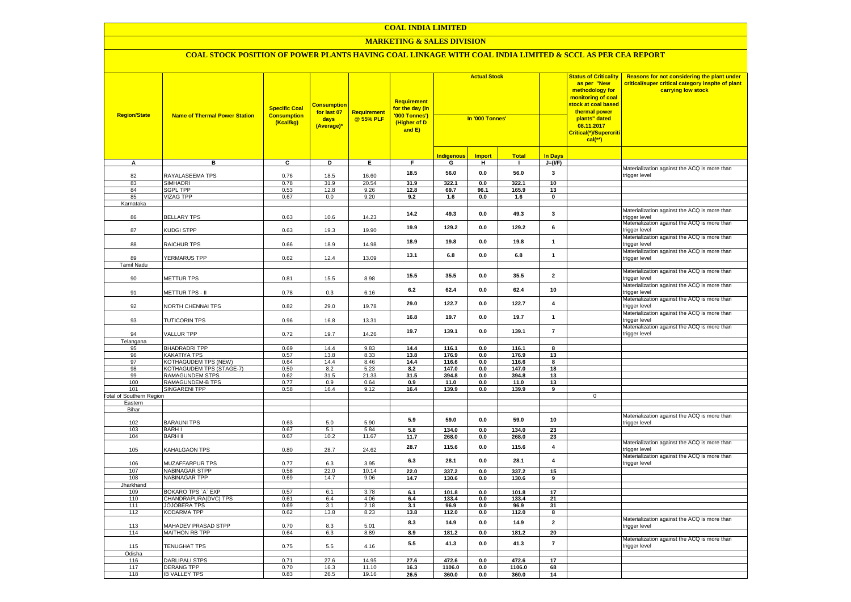#### **MARKETING & SALES DIVISION**

| <b>Region/State</b>                    | <b>Name of Thermal Power Station</b> | <b>Specific Coal</b><br><b>Consumption</b><br>(Kcal/kg) | <b>Consumption</b><br>for last 07<br>days<br>(Average)* | <b>Requirement</b><br>@ 55% PLF | Requirement<br>for the day (In<br>'000 Tonnes')<br>(Higher of D<br>and E) | <b>Actual Stock</b><br>In '000 Tonnes' |                |                |                         | <b>Status of Criticality</b><br>as per "New<br>methodology for<br>monitoring of coal<br><mark>stock at coal based</mark><br>thermal power<br>plants" dated<br>08.11.2017<br>Critical(*)/Supercriti<br>$cal$ (**) | Reasons for not considering the plant under<br>critical/super critical category inspite of plant<br>carrying low stock |
|----------------------------------------|--------------------------------------|---------------------------------------------------------|---------------------------------------------------------|---------------------------------|---------------------------------------------------------------------------|----------------------------------------|----------------|----------------|-------------------------|------------------------------------------------------------------------------------------------------------------------------------------------------------------------------------------------------------------|------------------------------------------------------------------------------------------------------------------------|
|                                        |                                      |                                                         |                                                         |                                 |                                                                           | Indigenous                             | <b>Import</b>  | <b>Total</b>   | <b>In Days</b>          |                                                                                                                                                                                                                  |                                                                                                                        |
| A                                      | в                                    | C                                                       | D                                                       | Е.                              | F.                                                                        | G                                      | н              | $\mathbf{L}$   | $J=(VF)$                |                                                                                                                                                                                                                  |                                                                                                                        |
| 82                                     | RAYALASEEMA TPS                      | 0.76                                                    | 18.5                                                    | 16.60                           | 18.5                                                                      | 56.0                                   | 0.0            | 56.0           | 3                       |                                                                                                                                                                                                                  | Materialization against the ACQ is more than<br>trigger level                                                          |
| 83                                     | <b>SIMHADRI</b>                      | 0.78                                                    | 31.9                                                    | 20.54                           | 31.9                                                                      | 322.1                                  | 0.0            | 322.1          | 10                      |                                                                                                                                                                                                                  |                                                                                                                        |
| 84                                     | <b>SGPL TPP</b>                      | 0.53                                                    | 12.8                                                    | 9.26                            | 12.8                                                                      | 69.7                                   | 96.1           | 165.9          | 13                      |                                                                                                                                                                                                                  |                                                                                                                        |
| 85                                     | VIZAG TPP                            | 0.67                                                    | 0.0                                                     | 9.20                            | 9.2                                                                       | 1.6                                    | 0.0            | 1.6            | $\mathbf 0$             |                                                                                                                                                                                                                  |                                                                                                                        |
| Karnataka<br>86                        | <b>BELLARY TPS</b>                   | 0.63                                                    | 10.6                                                    | 14.23                           | 14.2                                                                      | 49.3                                   | $0.0\,$        | 49.3           | $\mathbf{3}$            |                                                                                                                                                                                                                  | Materialization against the ACQ is more than<br>trigger level                                                          |
| 87                                     | KUDGI STPP                           | 0.63                                                    | 19.3                                                    | 19.90                           | 19.9                                                                      | 129.2                                  | 0.0            | 129.2          | 6                       |                                                                                                                                                                                                                  | Materialization against the ACQ is more than<br>trigger level                                                          |
| 88                                     | RAICHUR TPS                          | 0.66                                                    | 18.9                                                    | 14.98                           | 18.9                                                                      | 19.8                                   | 0.0            | 19.8           | $\mathbf{1}$            |                                                                                                                                                                                                                  | Materialization against the ACQ is more than<br>trigger level                                                          |
| 89                                     | YERMARUS TPP                         | 0.62                                                    | 12.4                                                    | 13.09                           | 13.1                                                                      | 6.8                                    | 0.0            | 6.8            | $\mathbf{1}$            |                                                                                                                                                                                                                  | Materialization against the ACQ is more than<br>trigger level                                                          |
| Tamil Nadu                             |                                      |                                                         |                                                         |                                 |                                                                           |                                        |                |                |                         |                                                                                                                                                                                                                  | Materialization against the ACQ is more than                                                                           |
| 90                                     | METTUR TPS                           | 0.81                                                    | 15.5                                                    | 8.98                            | 15.5                                                                      | 35.5                                   | 0.0            | 35.5           | $\overline{\mathbf{2}}$ |                                                                                                                                                                                                                  | trigger level<br>Materialization against the ACQ is more than                                                          |
| 91                                     | METTUR TPS - II                      | 0.78                                                    | 0.3                                                     | 6.16                            | 6.2                                                                       | 62.4                                   | 0.0            | 62.4           | 10                      |                                                                                                                                                                                                                  | rigger level<br>Materialization against the ACQ is more than                                                           |
| 92                                     | NORTH CHENNAI TPS                    | 0.82                                                    | 29.0                                                    | 19.78                           | 29.0                                                                      | 122.7                                  | 0.0            | 122.7          | $\pmb{4}$               |                                                                                                                                                                                                                  | rigger level<br>Materialization against the ACQ is more than                                                           |
| 93                                     | <b>TUTICORIN TPS</b>                 | 0.96                                                    | 16.8                                                    | 13.31                           | 16.8                                                                      | 19.7                                   | 0.0            | 19.7           | $\mathbf{1}$            |                                                                                                                                                                                                                  | rigger level<br>Materialization against the ACQ is more than                                                           |
| 94<br>Telangana                        | VALLUR TPP                           | 0.72                                                    | 19.7                                                    | 14.26                           | 19.7                                                                      | 139.1                                  | 0.0            | 139.1          | $\overline{7}$          |                                                                                                                                                                                                                  | rigger level                                                                                                           |
| 95                                     | <b>BHADRADRI TPP</b>                 | 0.69                                                    | 14.4                                                    | 9.83                            | 14.4                                                                      | 116.1                                  | 0.0            | 116.1          | 8                       |                                                                                                                                                                                                                  |                                                                                                                        |
| 96                                     | <b>KAKATIYA TPS</b>                  | 0.57                                                    | 13.8                                                    | 8.33                            | 13.8                                                                      | 176.9                                  | 0.0            | 176.9          | 13                      |                                                                                                                                                                                                                  |                                                                                                                        |
| 97                                     | <b>KOTHAGUDEM TPS (NEW)</b>          | 0.64                                                    | 14.4                                                    | 8.46                            | 14.4                                                                      | 116.6                                  | 0.0            | 116.6          | 8                       |                                                                                                                                                                                                                  |                                                                                                                        |
| 98                                     | KOTHAGUDEM TPS (STAGE-7)             | 0.50                                                    | 8.2                                                     | 5.23                            | 8.2                                                                       | 147.0                                  | 0.0            | 147.0          | 18                      |                                                                                                                                                                                                                  |                                                                                                                        |
| 99                                     | RAMAGUNDEM STPS                      | 0.62                                                    | 31.5                                                    | 21.33                           | 31.5                                                                      | 394.8                                  | 0.0            | 394.8          | 13                      |                                                                                                                                                                                                                  |                                                                                                                        |
| 100                                    | RAMAGUNDEM-B TPS                     | 0.77                                                    | 0.9                                                     | 0.64                            | 0.9                                                                       | 11.0                                   | 0.0            | 11.0           | 13                      |                                                                                                                                                                                                                  |                                                                                                                        |
| 101<br><b>Fotal of Southern Region</b> | SINGARENI TPP                        | 0.58                                                    | 16.4                                                    | 9.12                            | 16.4                                                                      | 139.9                                  | 0.0            | 139.9          | 9                       | $\mathsf 0$                                                                                                                                                                                                      |                                                                                                                        |
| Eastern                                |                                      |                                                         |                                                         |                                 |                                                                           |                                        |                |                |                         |                                                                                                                                                                                                                  |                                                                                                                        |
| Bihar                                  |                                      |                                                         |                                                         |                                 |                                                                           |                                        |                |                |                         |                                                                                                                                                                                                                  |                                                                                                                        |
| 102                                    | <b>BARAUNI TPS</b>                   | 0.63                                                    | 5.0                                                     | 5.90                            | 5.9                                                                       | 59.0                                   | 0.0            | 59.0           | 10                      |                                                                                                                                                                                                                  | Materialization against the ACQ is more than<br>rigger level                                                           |
| 103                                    | <b>BARHI</b>                         | 0.67                                                    | 5.1                                                     | 5.84                            | 5.8                                                                       | 134.0                                  | 0.0            | 134.0          | 23                      |                                                                                                                                                                                                                  |                                                                                                                        |
| 104                                    | <b>BARH II</b>                       | 0.67                                                    | 10.2                                                    | 11.67                           | 11.7                                                                      | 268.0                                  | 0.0            | 268.0          | 23                      |                                                                                                                                                                                                                  |                                                                                                                        |
| 105                                    | KAHALGAON TPS                        | 0.80                                                    | 28.7                                                    | 24.62                           | 28.7                                                                      | 115.6                                  | 0.0            | 115.6          | $\overline{\mathbf{4}}$ |                                                                                                                                                                                                                  | Materialization against the ACQ is more than<br>rigger level<br>Materialization against the ACQ is more than           |
| 106                                    | <b>MUZAFFARPUR TPS</b>               | 0.77                                                    | 6.3                                                     | 3.95                            | 6.3                                                                       | 28.1                                   | 0.0            | 28.1           | $\overline{\mathbf{4}}$ |                                                                                                                                                                                                                  | rigger level                                                                                                           |
| 107                                    | NABINAGAR STPP<br>NABINAGAR TPP      | 0.58<br>0.69                                            | 22.0<br>14.7                                            | 10.14<br>9.06                   | 22.0<br>14.7                                                              | 337.2<br>130.6                         | 0.0<br>0.0     | 337.2<br>130.6 | 15<br>9                 |                                                                                                                                                                                                                  |                                                                                                                        |
| 108<br>Jharkhand                       |                                      |                                                         |                                                         |                                 |                                                                           |                                        |                |                |                         |                                                                                                                                                                                                                  |                                                                                                                        |
| 109                                    | BOKARO TPS `A` EXP                   | 0.57                                                    | 6.1                                                     | 3.78                            | 6.1                                                                       | 101.8                                  | 0.0            | 101.8          | 17                      |                                                                                                                                                                                                                  |                                                                                                                        |
| 110                                    | CHANDRAPURA(DVC) TPS                 | 0.61                                                    | 6.4                                                     | 4.06                            | 6.4                                                                       | 133.4                                  | 0.0            | 133.4          | 21                      |                                                                                                                                                                                                                  |                                                                                                                        |
| 111                                    | JOJOBERA TPS                         | 0.69                                                    | 3.1                                                     | 2.18                            | 3.1                                                                       | 96.9                                   | 0.0            | 96.9           | 31                      |                                                                                                                                                                                                                  |                                                                                                                        |
| 112                                    | KODARMA TPP                          | 0.62                                                    | 13.8                                                    | 8.23                            | 13.8                                                                      | 112.0                                  | 0.0            | 112.0          | 8                       |                                                                                                                                                                                                                  |                                                                                                                        |
| 113                                    | <b>MAHADEV PRASAD STPP</b>           | 0.70                                                    | 8.3                                                     | 5.01                            | 8.3                                                                       | 14.9                                   | 0.0            | 14.9           | $\overline{2}$          |                                                                                                                                                                                                                  | Materialization against the ACQ is more than<br>rigger level                                                           |
| 114                                    | MAITHON RB TPP                       | 0.64                                                    | 6.3                                                     | 8.89                            | 8.9                                                                       | 181.2                                  | 0.0            | 181.2          | 20                      |                                                                                                                                                                                                                  |                                                                                                                        |
| 115                                    | TENUGHAT TPS                         | 0.75                                                    | 5.5                                                     | 4.16                            | 5.5                                                                       | 41.3                                   | 0.0            | 41.3           | $\overline{7}$          |                                                                                                                                                                                                                  | Materialization against the ACQ is more than<br>trigger level                                                          |
| Odisha<br>116                          | <b>DARLIPALI STPS</b>                | 0.71                                                    | 27.6                                                    | 14.95                           | 27.6                                                                      | 472.6                                  | 0.0            | 472.6          | 17                      |                                                                                                                                                                                                                  |                                                                                                                        |
| 117                                    | <b>DERANG TPP</b>                    | 0.70                                                    | 16.3                                                    | 11.10                           | 16.3                                                                      | 1106.0                                 | $\mathbf{0.0}$ | 1106.0         | 68                      |                                                                                                                                                                                                                  |                                                                                                                        |
| 118                                    | <b>IB VALLEY TPS</b>                 | 0.83                                                    | 26.5                                                    | 19.16                           | 26.5                                                                      | 360.0                                  | 0.0            | 360.0          | 14                      |                                                                                                                                                                                                                  |                                                                                                                        |